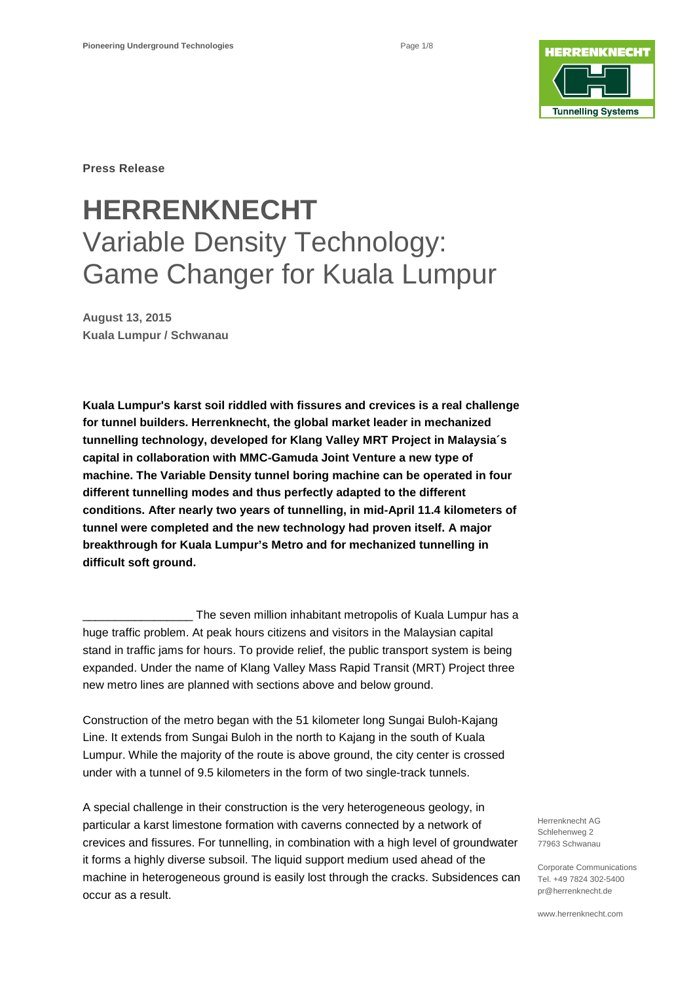

**Press Release**

## **HERRENKNECHT** Variable Density Technology: Game Changer for Kuala Lumpur

**August 13, 2015 Kuala Lumpur / Schwanau**

**Kuala Lumpur's karst soil riddled with fissures and crevices is a real challenge for tunnel builders. Herrenknecht, the global market leader in mechanized tunnelling technology, developed for Klang Valley MRT Project in Malaysia´s capital in collaboration with MMC-Gamuda Joint Venture a new type of machine. The Variable Density tunnel boring machine can be operated in four different tunnelling modes and thus perfectly adapted to the different conditions. After nearly two years of tunnelling, in mid-April 11.4 kilometers of tunnel were completed and the new technology had proven itself. A major breakthrough for Kuala Lumpur's Metro and for mechanized tunnelling in difficult soft ground.** 

The seven million inhabitant metropolis of Kuala Lumpur has a huge traffic problem. At peak hours citizens and visitors in the Malaysian capital stand in traffic jams for hours. To provide relief, the public transport system is being expanded. Under the name of Klang Valley Mass Rapid Transit (MRT) Project three new metro lines are planned with sections above and below ground.

Construction of the metro began with the 51 kilometer long Sungai Buloh-Kajang Line. It extends from Sungai Buloh in the north to Kajang in the south of Kuala Lumpur. While the majority of the route is above ground, the city center is crossed under with a tunnel of 9.5 kilometers in the form of two single-track tunnels.

A special challenge in their construction is the very heterogeneous geology, in particular a karst limestone formation with caverns connected by a network of crevices and fissures. For tunnelling, in combination with a high level of groundwater it forms a highly diverse subsoil. The liquid support medium used ahead of the machine in heterogeneous ground is easily lost through the cracks. Subsidences can occur as a result.

Herrenknecht AG Schlehenweg 2 77963 Schwanau

Corporate Communications Tel. +49 7824 302-5400 pr@herrenknecht.de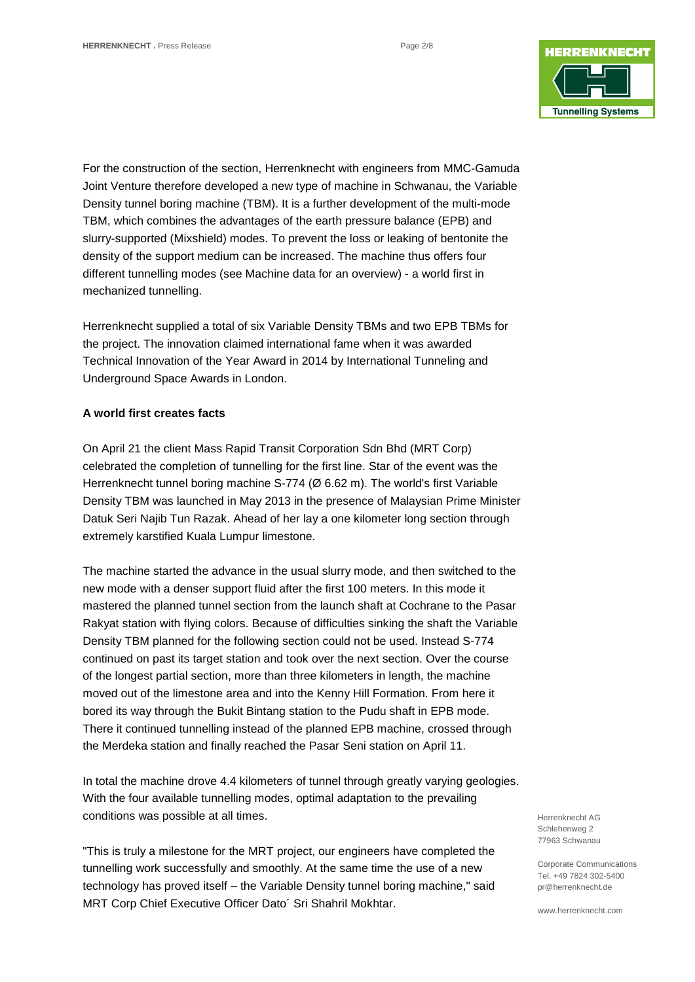

For the construction of the section, Herrenknecht with engineers from MMC-Gamuda Joint Venture therefore developed a new type of machine in Schwanau, the Variable Density tunnel boring machine (TBM). It is a further development of the multi-mode TBM, which combines the advantages of the earth pressure balance (EPB) and slurry-supported (Mixshield) modes. To prevent the loss or leaking of bentonite the density of the support medium can be increased. The machine thus offers four different tunnelling modes (see Machine data for an overview) - a world first in mechanized tunnelling.

Herrenknecht supplied a total of six Variable Density TBMs and two EPB TBMs for the project. The innovation claimed international fame when it was awarded Technical Innovation of the Year Award in 2014 by International Tunneling and Underground Space Awards in London.

## **A world first creates facts**

On April 21 the client Mass Rapid Transit Corporation Sdn Bhd (MRT Corp) celebrated the completion of tunnelling for the first line. Star of the event was the Herrenknecht tunnel boring machine S-774 (Ø 6.62 m). The world's first Variable Density TBM was launched in May 2013 in the presence of Malaysian Prime Minister Datuk Seri Najib Tun Razak. Ahead of her lay a one kilometer long section through extremely karstified Kuala Lumpur limestone.

The machine started the advance in the usual slurry mode, and then switched to the new mode with a denser support fluid after the first 100 meters. In this mode it mastered the planned tunnel section from the launch shaft at Cochrane to the Pasar Rakyat station with flying colors. Because of difficulties sinking the shaft the Variable Density TBM planned for the following section could not be used. Instead S-774 continued on past its target station and took over the next section. Over the course of the longest partial section, more than three kilometers in length, the machine moved out of the limestone area and into the Kenny Hill Formation. From here it bored its way through the Bukit Bintang station to the Pudu shaft in EPB mode. There it continued tunnelling instead of the planned EPB machine, crossed through the Merdeka station and finally reached the Pasar Seni station on April 11.

In total the machine drove 4.4 kilometers of tunnel through greatly varying geologies. With the four available tunnelling modes, optimal adaptation to the prevailing conditions was possible at all times.

"This is truly a milestone for the MRT project, our engineers have completed the tunnelling work successfully and smoothly. At the same time the use of a new technology has proved itself – the Variable Density tunnel boring machine," said MRT Corp Chief Executive Officer Dato´ Sri Shahril Mokhtar.

Herrenknecht AG Schlehenweg 2 77963 Schwanau

Corporate Communications Tel. +49 7824 302-5400 pr@herrenknecht.de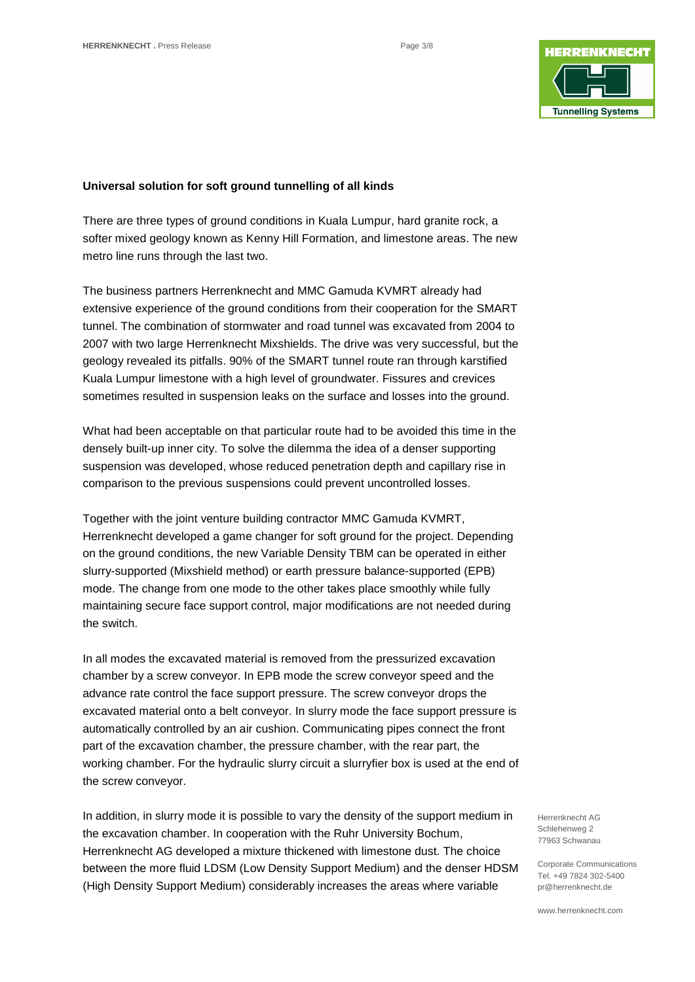

#### **Universal solution for soft ground tunnelling of all kinds**

There are three types of ground conditions in Kuala Lumpur, hard granite rock, a softer mixed geology known as Kenny Hill Formation, and limestone areas. The new metro line runs through the last two.

The business partners Herrenknecht and MMC Gamuda KVMRT already had extensive experience of the ground conditions from their cooperation for the SMART tunnel. The combination of stormwater and road tunnel was excavated from 2004 to 2007 with two large Herrenknecht Mixshields. The drive was very successful, but the geology revealed its pitfalls. 90% of the SMART tunnel route ran through karstified Kuala Lumpur limestone with a high level of groundwater. Fissures and crevices sometimes resulted in suspension leaks on the surface and losses into the ground.

What had been acceptable on that particular route had to be avoided this time in the densely built-up inner city. To solve the dilemma the idea of a denser supporting suspension was developed, whose reduced penetration depth and capillary rise in comparison to the previous suspensions could prevent uncontrolled losses.

Together with the joint venture building contractor MMC Gamuda KVMRT, Herrenknecht developed a game changer for soft ground for the project. Depending on the ground conditions, the new Variable Density TBM can be operated in either slurry-supported (Mixshield method) or earth pressure balance-supported (EPB) mode. The change from one mode to the other takes place smoothly while fully maintaining secure face support control, major modifications are not needed during the switch.

In all modes the excavated material is removed from the pressurized excavation chamber by a screw conveyor. In EPB mode the screw conveyor speed and the advance rate control the face support pressure. The screw conveyor drops the excavated material onto a belt conveyor. In slurry mode the face support pressure is automatically controlled by an air cushion. Communicating pipes connect the front part of the excavation chamber, the pressure chamber, with the rear part, the working chamber. For the hydraulic slurry circuit a slurryfier box is used at the end of the screw conveyor.

In addition, in slurry mode it is possible to vary the density of the support medium in the excavation chamber. In cooperation with the Ruhr University Bochum, Herrenknecht AG developed a mixture thickened with limestone dust. The choice between the more fluid LDSM (Low Density Support Medium) and the denser HDSM (High Density Support Medium) considerably increases the areas where variable

Herrenknecht AG Schlehenweg 2 77963 Schwanau

Corporate Communications Tel. +49 7824 302-5400 pr@herrenknecht.de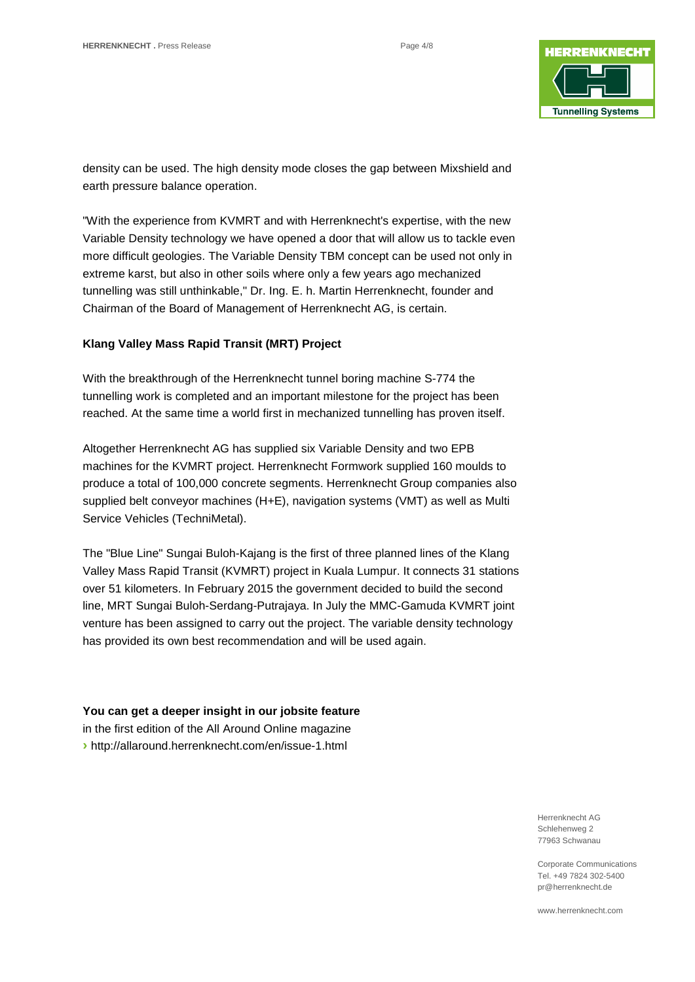

density can be used. The high density mode closes the gap between Mixshield and earth pressure balance operation.

"With the experience from KVMRT and with Herrenknecht's expertise, with the new Variable Density technology we have opened a door that will allow us to tackle even more difficult geologies. The Variable Density TBM concept can be used not only in extreme karst, but also in other soils where only a few years ago mechanized tunnelling was still unthinkable," Dr. Ing. E. h. Martin Herrenknecht, founder and Chairman of the Board of Management of Herrenknecht AG, is certain.

## **Klang Valley Mass Rapid Transit (MRT) Project**

With the breakthrough of the Herrenknecht tunnel boring machine S-774 the tunnelling work is completed and an important milestone for the project has been reached. At the same time a world first in mechanized tunnelling has proven itself.

Altogether Herrenknecht AG has supplied six Variable Density and two EPB machines for the KVMRT project. Herrenknecht Formwork supplied 160 moulds to produce a total of 100,000 concrete segments. Herrenknecht Group companies also supplied belt conveyor machines (H+E), navigation systems (VMT) as well as Multi Service Vehicles (TechniMetal).

The "Blue Line" Sungai Buloh-Kajang is the first of three planned lines of the Klang Valley Mass Rapid Transit (KVMRT) project in Kuala Lumpur. It connects 31 stations over 51 kilometers. In February 2015 the government decided to build the second line, MRT Sungai Buloh-Serdang-Putrajaya. In July the MMC-Gamuda KVMRT joint venture has been assigned to carry out the project. The variable density technology has provided its own best recommendation and will be used again.

**You can get a deeper insight in our jobsite feature** in the first edition of the All Around Online magazine **›** <http://allaround.herrenknecht.com/en/issue-1.html>

> Herrenknecht AG Schlehenweg 2 77963 Schwanau

Corporate Communications Tel. +49 7824 302-5400 pr@herrenknecht.de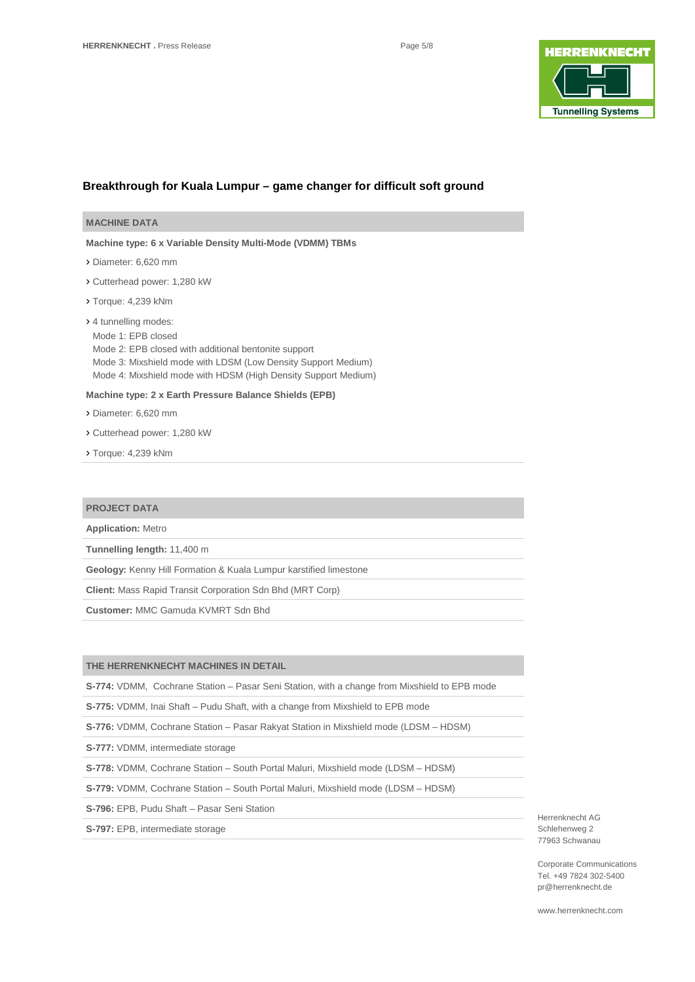

#### **Breakthrough for Kuala Lumpur – game changer for difficult soft ground**

**Machine type: 6 x Variable Density Multi-Mode (VDMM) TBMs** 

› Diameter: 6,620 mm

- › Cutterhead power: 1,280 kW
- › Torque: 4,239 kNm

› 4 tunnelling modes: Mode 1: EPB closed Mode 2: EPB closed with additional bentonite support Mode 3: Mixshield mode with LDSM (Low Density Support Medium) Mode 4: Mixshield mode with HDSM (High Density Support Medium)

#### **Machine type: 2 x Earth Pressure Balance Shields (EPB)**

› Diameter: 6,620 mm

- › Cutterhead power: 1,280 kW
- › Torque: 4,239 kNm

#### **PROJECT DATA**

**Application:** Metro

**Tunnelling length:** 11,400 m

**Geology:** Kenny Hill Formation & Kuala Lumpur karstified limestone

**Client:** Mass Rapid Transit Corporation Sdn Bhd (MRT Corp)

**Customer:** MMC Gamuda KVMRT Sdn Bhd

## **THE HERRENKNECHT MACHINES IN DETAIL**

**S-774:** VDMM, Cochrane Station – Pasar Seni Station, with a change from Mixshield to EPB mode

**S-775:** VDMM, Inai Shaft – Pudu Shaft, with a change from Mixshield to EPB mode

**S-776:** VDMM, Cochrane Station – Pasar Rakyat Station in Mixshield mode (LDSM – HDSM)

**S-777:** VDMM, intermediate storage

**S-778:** VDMM, Cochrane Station – South Portal Maluri, Mixshield mode (LDSM – HDSM)

**S-779:** VDMM, Cochrane Station – South Portal Maluri, Mixshield mode (LDSM – HDSM)

**S-796:** EPB, Pudu Shaft – Pasar Seni Station

**S-797:** EPB, intermediate storage

Herrenknecht AG Schlehenweg 2 77963 Schwanau

Corporate Communications Tel. +49 7824 302-5400 pr@herrenknecht.de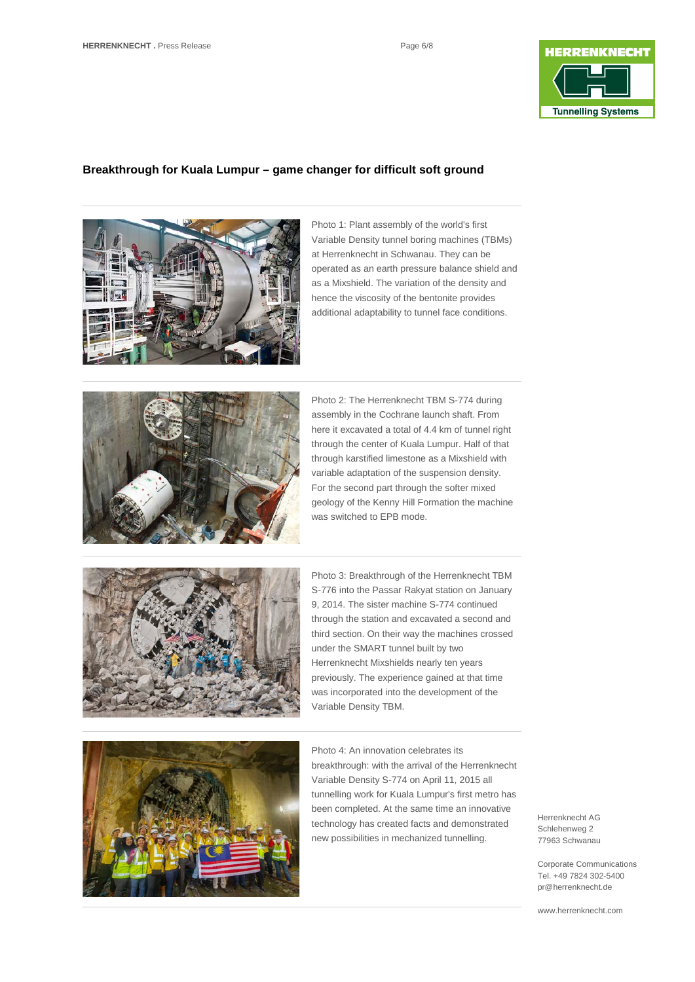

### **Breakthrough for Kuala Lumpur – game changer for difficult soft ground**



Photo 1: Plant assembly of the world's first Variable Density tunnel boring machines (TBMs) at Herrenknecht in Schwanau. They can be operated as an earth pressure balance shield and as a Mixshield. The variation of the density and hence the viscosity of the bentonite provides additional adaptability to tunnel face conditions.



Photo 2: The Herrenknecht TBM S-774 during assembly in the Cochrane launch shaft. From here it excavated a total of 4.4 km of tunnel right through the center of Kuala Lumpur. Half of that through karstified limestone as a Mixshield with variable adaptation of the suspension density. For the second part through the softer mixed geology of the Kenny Hill Formation the machine was switched to EPB mode.



Photo 3: Breakthrough of the Herrenknecht TBM S-776 into the Passar Rakyat station on January 9, 2014. The sister machine S-774 continued through the station and excavated a second and third section. On their way the machines crossed under the SMART tunnel built by two Herrenknecht Mixshields nearly ten years previously. The experience gained at that time was incorporated into the development of the Variable Density TBM.



Photo 4: An innovation celebrates its breakthrough: with the arrival of the Herrenknecht Variable Density S-774 on April 11, 2015 all tunnelling work for Kuala Lumpur's first metro has been completed. At the same time an innovative technology has created facts and demonstrated new possibilities in mechanized tunnelling.

Herrenknecht AG Schlehenweg 2 77963 Schwanau

Corporate Communications Tel. +49 7824 302-5400 pr@herrenknecht.de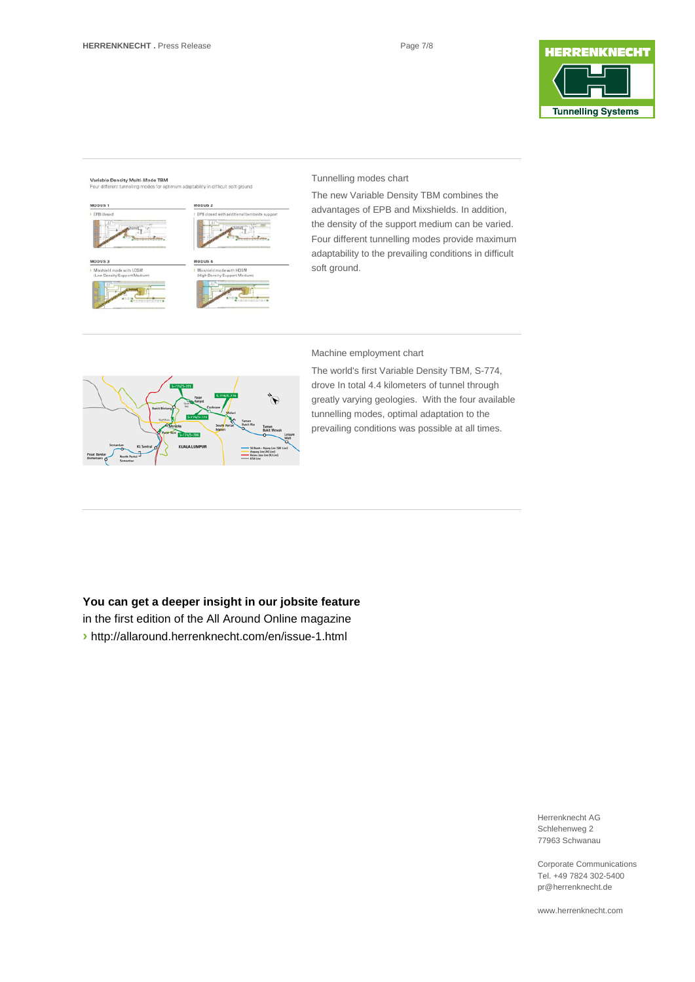

#### **Variable Density Multi-Mode TBM**



#### Tunnelling modes chart

The new Variable Density TBM combines the advantages of EPB and Mixshields. In addition, the density of the support medium can be varied. Four different tunnelling modes provide maximum adaptability to the prevailing conditions in difficult soft ground.

#### Machine employment chart



The world's first Variable Density TBM, S-774, drove In total 4.4 kilometers of tunnel through greatly varying geologies. With the four available tunnelling modes, optimal adaptation to the prevailing conditions was possible at all times.

#### **You can get a deeper insight in our jobsite feature**

in the first edition of the All Around Online magazine **›** <http://allaround.herrenknecht.com/en/issue-1.html>

> Herrenknecht AG Schlehenweg 2 77963 Schwanau

Corporate Communications Tel. +49 7824 302-5400 pr@herrenknecht.de